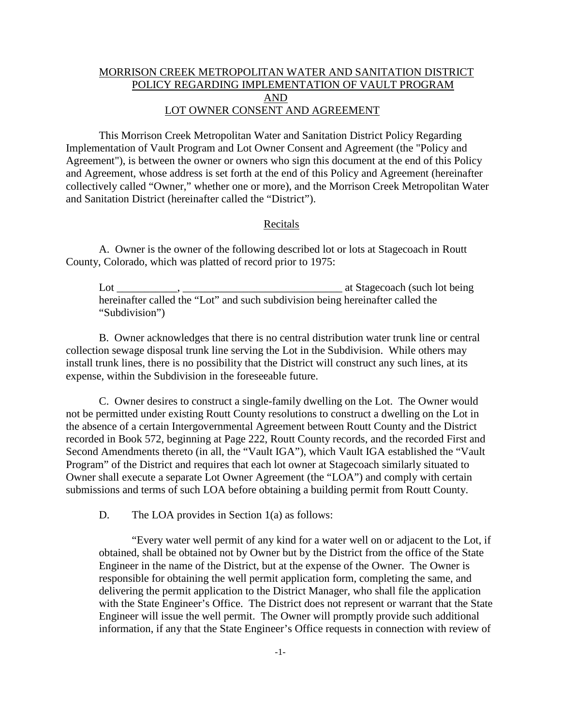## MORRISON CREEK METROPOLITAN WATER AND SANITATION DISTRICT POLICY REGARDING IMPLEMENTATION OF VAULT PROGRAM AND LOT OWNER CONSENT AND AGREEMENT

This Morrison Creek Metropolitan Water and Sanitation District Policy Regarding Implementation of Vault Program and Lot Owner Consent and Agreement (the "Policy and Agreement"), is between the owner or owners who sign this document at the end of this Policy and Agreement, whose address is set forth at the end of this Policy and Agreement (hereinafter collectively called "Owner," whether one or more), and the Morrison Creek Metropolitan Water and Sanitation District (hereinafter called the "District").

## Recitals

A. Owner is the owner of the following described lot or lots at Stagecoach in Routt County, Colorado, which was platted of record prior to 1975:

 $\text{Lot}$   $\frac{1}{2}$ ,  $\frac{1}{2}$ ,  $\frac{1}{2}$ ,  $\frac{1}{2}$ ,  $\frac{1}{2}$ ,  $\frac{1}{2}$  at Stagecoach (such lot being hereinafter called the "Lot" and such subdivision being hereinafter called the "Subdivision")

B. Owner acknowledges that there is no central distribution water trunk line or central collection sewage disposal trunk line serving the Lot in the Subdivision. While others may install trunk lines, there is no possibility that the District will construct any such lines, at its expense, within the Subdivision in the foreseeable future.

C. Owner desires to construct a single-family dwelling on the Lot. The Owner would not be permitted under existing Routt County resolutions to construct a dwelling on the Lot in the absence of a certain Intergovernmental Agreement between Routt County and the District recorded in Book 572, beginning at Page 222, Routt County records, and the recorded First and Second Amendments thereto (in all, the "Vault IGA"), which Vault IGA established the "Vault Program" of the District and requires that each lot owner at Stagecoach similarly situated to Owner shall execute a separate Lot Owner Agreement (the "LOA") and comply with certain submissions and terms of such LOA before obtaining a building permit from Routt County.

D. The LOA provides in Section 1(a) as follows:

"Every water well permit of any kind for a water well on or adjacent to the Lot, if obtained, shall be obtained not by Owner but by the District from the office of the State Engineer in the name of the District, but at the expense of the Owner. The Owner is responsible for obtaining the well permit application form, completing the same, and delivering the permit application to the District Manager, who shall file the application with the State Engineer's Office. The District does not represent or warrant that the State Engineer will issue the well permit. The Owner will promptly provide such additional information, if any that the State Engineer's Office requests in connection with review of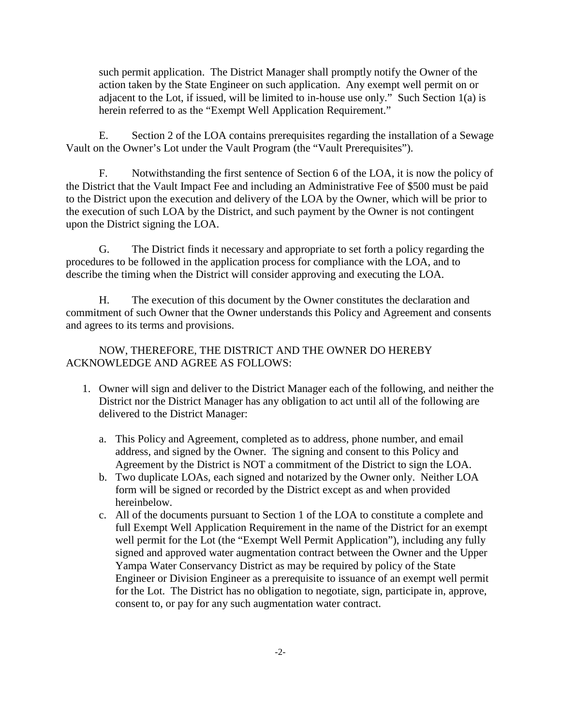such permit application. The District Manager shall promptly notify the Owner of the action taken by the State Engineer on such application. Any exempt well permit on or adjacent to the Lot, if issued, will be limited to in-house use only." Such Section 1(a) is herein referred to as the "Exempt Well Application Requirement."

E. Section 2 of the LOA contains prerequisites regarding the installation of a Sewage Vault on the Owner's Lot under the Vault Program (the "Vault Prerequisites").

F. Notwithstanding the first sentence of Section 6 of the LOA, it is now the policy of the District that the Vault Impact Fee and including an Administrative Fee of \$500 must be paid to the District upon the execution and delivery of the LOA by the Owner, which will be prior to the execution of such LOA by the District, and such payment by the Owner is not contingent upon the District signing the LOA.

G. The District finds it necessary and appropriate to set forth a policy regarding the procedures to be followed in the application process for compliance with the LOA, and to describe the timing when the District will consider approving and executing the LOA.

H. The execution of this document by the Owner constitutes the declaration and commitment of such Owner that the Owner understands this Policy and Agreement and consents and agrees to its terms and provisions.

NOW, THEREFORE, THE DISTRICT AND THE OWNER DO HEREBY ACKNOWLEDGE AND AGREE AS FOLLOWS:

- 1. Owner will sign and deliver to the District Manager each of the following, and neither the District nor the District Manager has any obligation to act until all of the following are delivered to the District Manager:
	- a. This Policy and Agreement, completed as to address, phone number, and email address, and signed by the Owner. The signing and consent to this Policy and Agreement by the District is NOT a commitment of the District to sign the LOA.
	- b. Two duplicate LOAs, each signed and notarized by the Owner only. Neither LOA form will be signed or recorded by the District except as and when provided hereinbelow.
	- c. All of the documents pursuant to Section 1 of the LOA to constitute a complete and full Exempt Well Application Requirement in the name of the District for an exempt well permit for the Lot (the "Exempt Well Permit Application"), including any fully signed and approved water augmentation contract between the Owner and the Upper Yampa Water Conservancy District as may be required by policy of the State Engineer or Division Engineer as a prerequisite to issuance of an exempt well permit for the Lot. The District has no obligation to negotiate, sign, participate in, approve, consent to, or pay for any such augmentation water contract.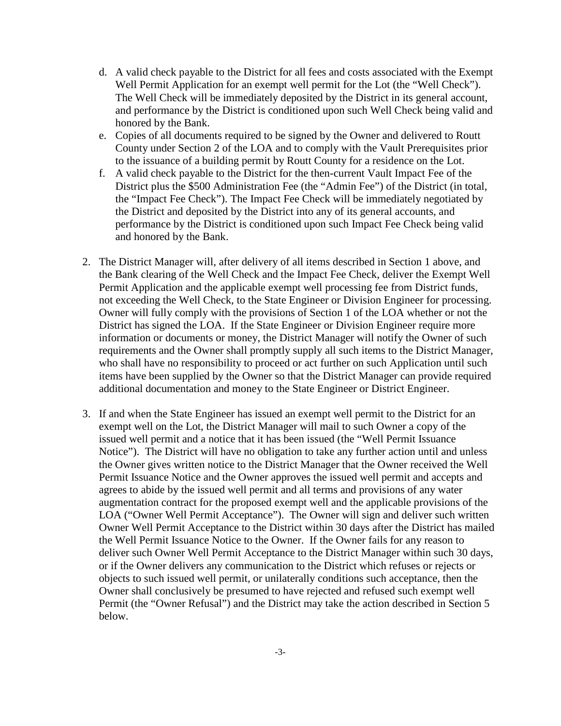- d. A valid check payable to the District for all fees and costs associated with the Exempt Well Permit Application for an exempt well permit for the Lot (the "Well Check"). The Well Check will be immediately deposited by the District in its general account, and performance by the District is conditioned upon such Well Check being valid and honored by the Bank.
- e. Copies of all documents required to be signed by the Owner and delivered to Routt County under Section 2 of the LOA and to comply with the Vault Prerequisites prior to the issuance of a building permit by Routt County for a residence on the Lot.
- f. A valid check payable to the District for the then-current Vault Impact Fee of the District plus the \$500 Administration Fee (the "Admin Fee") of the District (in total, the "Impact Fee Check"). The Impact Fee Check will be immediately negotiated by the District and deposited by the District into any of its general accounts, and performance by the District is conditioned upon such Impact Fee Check being valid and honored by the Bank.
- 2. The District Manager will, after delivery of all items described in Section 1 above, and the Bank clearing of the Well Check and the Impact Fee Check, deliver the Exempt Well Permit Application and the applicable exempt well processing fee from District funds, not exceeding the Well Check, to the State Engineer or Division Engineer for processing. Owner will fully comply with the provisions of Section 1 of the LOA whether or not the District has signed the LOA. If the State Engineer or Division Engineer require more information or documents or money, the District Manager will notify the Owner of such requirements and the Owner shall promptly supply all such items to the District Manager, who shall have no responsibility to proceed or act further on such Application until such items have been supplied by the Owner so that the District Manager can provide required additional documentation and money to the State Engineer or District Engineer.
- 3. If and when the State Engineer has issued an exempt well permit to the District for an exempt well on the Lot, the District Manager will mail to such Owner a copy of the issued well permit and a notice that it has been issued (the "Well Permit Issuance Notice"). The District will have no obligation to take any further action until and unless the Owner gives written notice to the District Manager that the Owner received the Well Permit Issuance Notice and the Owner approves the issued well permit and accepts and agrees to abide by the issued well permit and all terms and provisions of any water augmentation contract for the proposed exempt well and the applicable provisions of the LOA ("Owner Well Permit Acceptance"). The Owner will sign and deliver such written Owner Well Permit Acceptance to the District within 30 days after the District has mailed the Well Permit Issuance Notice to the Owner. If the Owner fails for any reason to deliver such Owner Well Permit Acceptance to the District Manager within such 30 days, or if the Owner delivers any communication to the District which refuses or rejects or objects to such issued well permit, or unilaterally conditions such acceptance, then the Owner shall conclusively be presumed to have rejected and refused such exempt well Permit (the "Owner Refusal") and the District may take the action described in Section 5 below.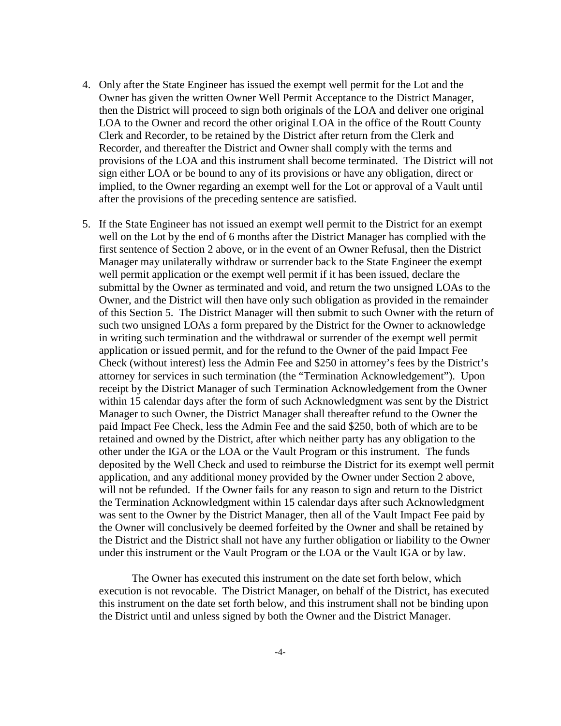- 4. Only after the State Engineer has issued the exempt well permit for the Lot and the Owner has given the written Owner Well Permit Acceptance to the District Manager, then the District will proceed to sign both originals of the LOA and deliver one original LOA to the Owner and record the other original LOA in the office of the Routt County Clerk and Recorder, to be retained by the District after return from the Clerk and Recorder, and thereafter the District and Owner shall comply with the terms and provisions of the LOA and this instrument shall become terminated. The District will not sign either LOA or be bound to any of its provisions or have any obligation, direct or implied, to the Owner regarding an exempt well for the Lot or approval of a Vault until after the provisions of the preceding sentence are satisfied.
- 5. If the State Engineer has not issued an exempt well permit to the District for an exempt well on the Lot by the end of 6 months after the District Manager has complied with the first sentence of Section 2 above, or in the event of an Owner Refusal, then the District Manager may unilaterally withdraw or surrender back to the State Engineer the exempt well permit application or the exempt well permit if it has been issued, declare the submittal by the Owner as terminated and void, and return the two unsigned LOAs to the Owner, and the District will then have only such obligation as provided in the remainder of this Section 5. The District Manager will then submit to such Owner with the return of such two unsigned LOAs a form prepared by the District for the Owner to acknowledge in writing such termination and the withdrawal or surrender of the exempt well permit application or issued permit, and for the refund to the Owner of the paid Impact Fee Check (without interest) less the Admin Fee and \$250 in attorney's fees by the District's attorney for services in such termination (the "Termination Acknowledgement"). Upon receipt by the District Manager of such Termination Acknowledgement from the Owner within 15 calendar days after the form of such Acknowledgment was sent by the District Manager to such Owner, the District Manager shall thereafter refund to the Owner the paid Impact Fee Check, less the Admin Fee and the said \$250, both of which are to be retained and owned by the District, after which neither party has any obligation to the other under the IGA or the LOA or the Vault Program or this instrument. The funds deposited by the Well Check and used to reimburse the District for its exempt well permit application, and any additional money provided by the Owner under Section 2 above, will not be refunded. If the Owner fails for any reason to sign and return to the District the Termination Acknowledgment within 15 calendar days after such Acknowledgment was sent to the Owner by the District Manager, then all of the Vault Impact Fee paid by the Owner will conclusively be deemed forfeited by the Owner and shall be retained by the District and the District shall not have any further obligation or liability to the Owner under this instrument or the Vault Program or the LOA or the Vault IGA or by law.

The Owner has executed this instrument on the date set forth below, which execution is not revocable. The District Manager, on behalf of the District, has executed this instrument on the date set forth below, and this instrument shall not be binding upon the District until and unless signed by both the Owner and the District Manager.